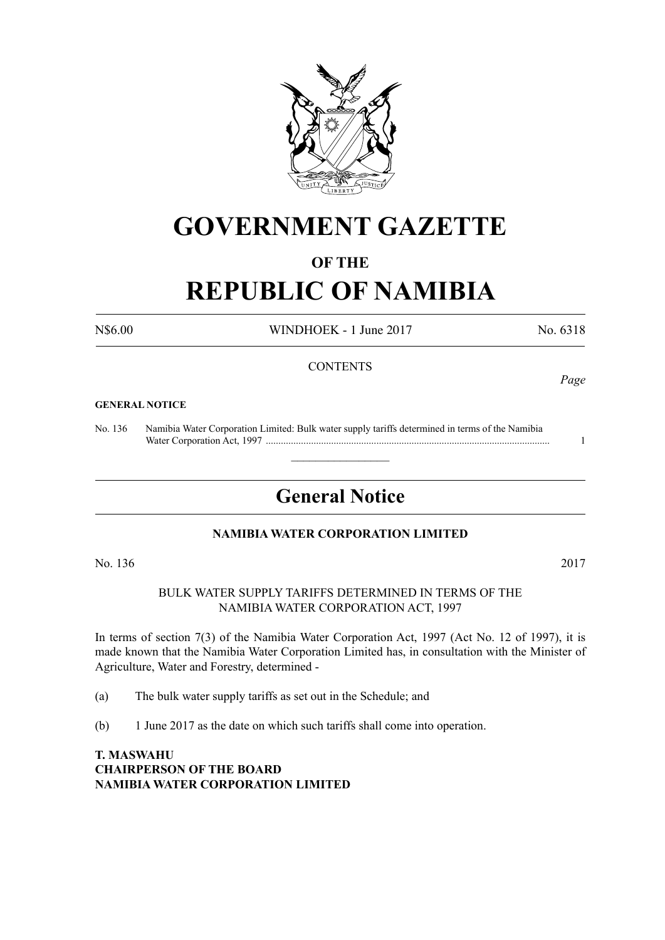

## **GOVERNMENT GAZETTE**

### **OF THE**

# **REPUBLIC OF NAMIBIA**

N\$6.00 WINDHOEK - 1 June 2017 No. 6318

### **CONTENTS**

#### **GENERAL NOTICE**

No. 136 Namibia Water Corporation Limited: Bulk water supply tariffs determined in terms of the Namibia Water Corporation Act, 1997 ................................................................................................................. 1

## **General Notice**

 $\overline{\phantom{a}}$  , where  $\overline{\phantom{a}}$ 

### **NAMibia WATER CORPORATION LIMITED**

No. 136 2017

BULK WATER SUPPLY TARIFFS DETERMINED IN TERMS OF THE NAMIBIA WATER CORPORATION ACT, 1997

In terms of section 7(3) of the Namibia Water Corporation Act, 1997 (Act No. 12 of 1997), it is made known that the Namibia Water Corporation Limited has, in consultation with the Minister of Agriculture, Water and Forestry, determined -

(a) The bulk water supply tariffs as set out in the Schedule; and

(b) 1 June 2017 as the date on which such tariffs shall come into operation.

**T. MASWAHU CHAIRPERSON OF THE BOARD NAMIBIA WATER CORPORATION LIMITED**

### *Page*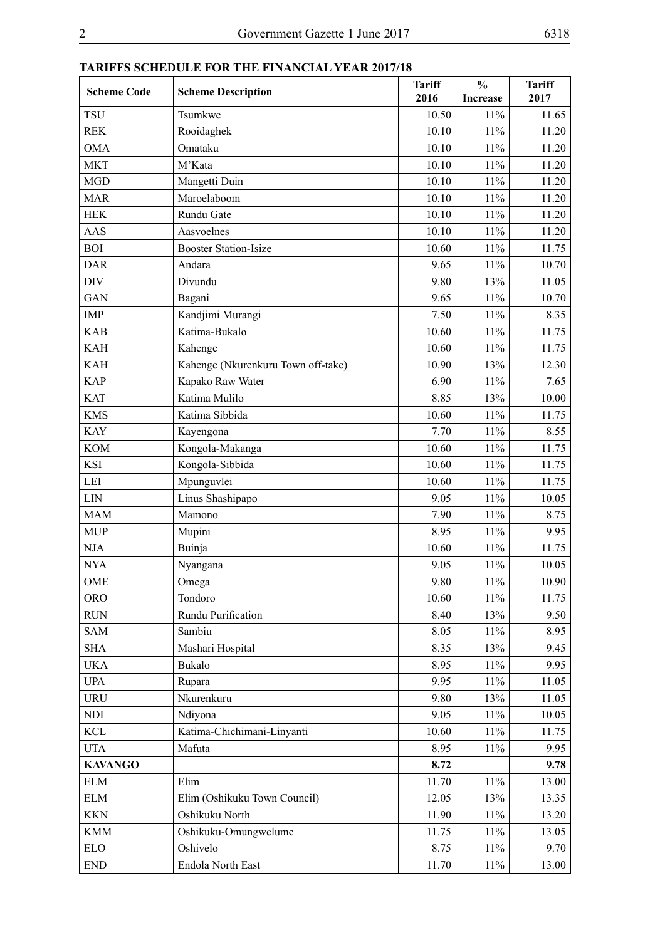| <b>Scheme Code</b> | <b>Scheme Description</b>          | <b>Tariff</b><br>2016 | $\frac{0}{0}$<br><b>Increase</b> | <b>Tariff</b><br>2017 |
|--------------------|------------------------------------|-----------------------|----------------------------------|-----------------------|
| <b>TSU</b>         | Tsumkwe                            | 10.50                 | 11%                              | 11.65                 |
| <b>REK</b>         | Rooidaghek                         | 10.10                 | 11%                              | 11.20                 |
| <b>OMA</b>         | Omataku                            | 10.10                 | 11%                              | 11.20                 |
| <b>MKT</b>         | M'Kata                             | 10.10                 | 11%                              | 11.20                 |
| <b>MGD</b>         | Mangetti Duin                      | 10.10                 | 11%                              | 11.20                 |
| <b>MAR</b>         | Maroelaboom                        | 10.10                 | 11%                              | 11.20                 |
| <b>HEK</b>         | Rundu Gate                         | 10.10                 | 11%                              | 11.20                 |
| <b>AAS</b>         | Aasvoelnes                         | 10.10                 | 11%                              | 11.20                 |
| <b>BOI</b>         | <b>Booster Station-Isize</b>       | 10.60                 | 11%                              | 11.75                 |
| <b>DAR</b>         | Andara                             | 9.65                  | 11%                              | 10.70                 |
| <b>DIV</b>         | Divundu                            | 9.80                  | 13%                              | 11.05                 |
| <b>GAN</b>         | Bagani                             | 9.65                  | 11%                              | 10.70                 |
| <b>IMP</b>         | Kandjimi Murangi                   | 7.50                  | 11%                              | 8.35                  |
| <b>KAB</b>         | Katima-Bukalo                      | 10.60                 | 11%                              | 11.75                 |
| <b>KAH</b>         | Kahenge                            | 10.60                 | 11%                              | 11.75                 |
| <b>KAH</b>         | Kahenge (Nkurenkuru Town off-take) | 10.90                 | 13%                              | 12.30                 |
| <b>KAP</b>         | Kapako Raw Water                   | 6.90                  | 11%                              | 7.65                  |
| <b>KAT</b>         | Katima Mulilo                      | 8.85                  | 13%                              | 10.00                 |
| <b>KMS</b>         | Katima Sibbida                     | 10.60                 | 11%                              | 11.75                 |
| <b>KAY</b>         | Kayengona                          | 7.70                  | 11%                              | 8.55                  |
| <b>KOM</b>         | Kongola-Makanga                    | 10.60                 | 11%                              | 11.75                 |
| <b>KSI</b>         | Kongola-Sibbida                    | 10.60                 | 11%                              | 11.75                 |
| LEI                | Mpunguvlei                         | 10.60                 | 11%                              | 11.75                 |
| <b>LIN</b>         | Linus Shashipapo                   | 9.05                  | 11%                              | 10.05                 |
| <b>MAM</b>         | Mamono                             | 7.90                  | 11%                              | 8.75                  |
| <b>MUP</b>         | Mupini                             | 8.95                  | 11%                              | 9.95                  |
| NJA                | Buinja                             | 10.60                 | 11%                              | 11.75                 |
| <b>NYA</b>         | Nyangana                           | 9.05                  | 11%                              | 10.05                 |
| OME                | Omega                              | 9.80                  | 11%                              | 10.90                 |
| <b>ORO</b>         | Tondoro                            | 10.60                 | 11%                              | 11.75                 |
| <b>RUN</b>         | Rundu Purification                 | 8.40                  | 13%                              | 9.50                  |
| <b>SAM</b>         | Sambiu                             | 8.05                  | 11%                              | 8.95                  |
| <b>SHA</b>         | Mashari Hospital                   | 8.35                  | 13%                              | 9.45                  |
| <b>UKA</b>         | Bukalo                             | 8.95                  | 11%                              | 9.95                  |
| <b>UPA</b>         | Rupara                             | 9.95                  | 11%                              | 11.05                 |
| <b>URU</b>         | Nkurenkuru                         | 9.80                  | 13%                              | 11.05                 |
| <b>NDI</b>         | Ndiyona                            | 9.05                  | 11%                              | 10.05                 |
| <b>KCL</b>         | Katima-Chichimani-Linyanti         | 10.60                 | 11%                              | 11.75                 |
| <b>UTA</b>         | Mafuta                             | 8.95                  | 11%                              | 9.95                  |
| <b>KAVANGO</b>     |                                    | 8.72                  |                                  | 9.78                  |
| <b>ELM</b>         | Elim                               | 11.70                 | 11%                              | 13.00                 |
| <b>ELM</b>         | Elim (Oshikuku Town Council)       | 12.05                 | 13%                              | 13.35                 |
| <b>KKN</b>         | Oshikuku North                     | 11.90                 | 11%                              | 13.20                 |
| <b>KMM</b>         | Oshikuku-Omungwelume               | 11.75                 | 11%                              | 13.05                 |
| <b>ELO</b>         | Oshivelo                           | 8.75                  | 11%                              | 9.70                  |
| <b>END</b>         | Endola North East                  | 11.70                 | 11%                              | 13.00                 |

### **TARIFFS SCHEDULE FOR THE FINANCIAL YEAR 2017/18**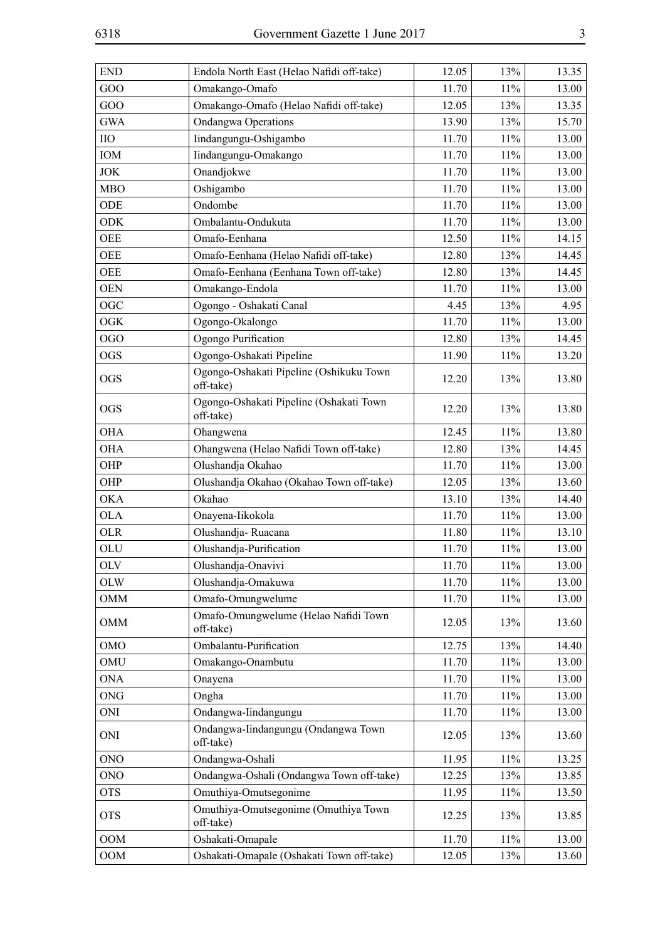| <b>END</b> | Endola North East (Helao Nafidi off-take)            | 12.05 | 13%    | 13.35 |
|------------|------------------------------------------------------|-------|--------|-------|
| GOO        | Omakango-Omafo                                       | 11.70 | 11%    | 13.00 |
| GOO        | Omakango-Omafo (Helao Nafidi off-take)               | 12.05 | 13%    | 13.35 |
| <b>GWA</b> | <b>Ondangwa Operations</b>                           | 13.90 | 13%    | 15.70 |
| $\rm{IIO}$ | Iindangungu-Oshigambo                                | 11.70 | $11\%$ | 13.00 |
| IOM        | Iindangungu-Omakango                                 | 11.70 | 11%    | 13.00 |
| <b>JOK</b> | Onandjokwe                                           | 11.70 | 11%    | 13.00 |
| <b>MBO</b> | Oshigambo                                            | 11.70 | 11%    | 13.00 |
| ODE        | Ondombe                                              | 11.70 | 11%    | 13.00 |
| <b>ODK</b> | Ombalantu-Ondukuta                                   | 11.70 | 11%    | 13.00 |
| <b>OEE</b> | Omafo-Eenhana                                        | 12.50 | 11%    | 14.15 |
| <b>OEE</b> | Omafo-Eenhana (Helao Nafidi off-take)                | 12.80 | 13%    | 14.45 |
| <b>OEE</b> | Omafo-Eenhana (Eenhana Town off-take)                | 12.80 | 13%    | 14.45 |
| <b>OEN</b> | Omakango-Endola                                      | 11.70 | 11%    | 13.00 |
| <b>OGC</b> | Ogongo - Oshakati Canal                              | 4.45  | 13%    | 4.95  |
| <b>OGK</b> | Ogongo-Okalongo                                      | 11.70 | 11%    | 13.00 |
| <b>OGO</b> | Ogongo Purification                                  | 12.80 | 13%    | 14.45 |
| <b>OGS</b> | Ogongo-Oshakati Pipeline                             | 11.90 | $11\%$ | 13.20 |
| <b>OGS</b> | Ogongo-Oshakati Pipeline (Oshikuku Town<br>off-take) | 12.20 | 13%    | 13.80 |
| <b>OGS</b> | Ogongo-Oshakati Pipeline (Oshakati Town<br>off-take) | 12.20 | 13%    | 13.80 |
| <b>OHA</b> | Ohangwena                                            | 12.45 | 11%    | 13.80 |
| <b>OHA</b> | Ohangwena (Helao Nafidi Town off-take)               | 12.80 | 13%    | 14.45 |
| OHP        | Olushandja Okahao                                    | 11.70 | 11%    | 13.00 |
| OHP        | Olushandja Okahao (Okahao Town off-take)             | 12.05 | 13%    | 13.60 |
| <b>OKA</b> | Okahao                                               | 13.10 | 13%    | 14.40 |
| <b>OLA</b> | Onayena-Iikokola                                     | 11.70 | $11\%$ | 13.00 |
| <b>OLR</b> | Olushandja-Ruacana                                   | 11.80 | 11%    | 13.10 |
| OLU        | Olushandja-Purification                              | 11.70 | $11\%$ | 13.00 |
| OLV        | Olushandja-Onavivi                                   | 11.70 | $11\%$ | 13.00 |
| <b>OLW</b> | Olushandja-Omakuwa                                   | 11.70 | $11\%$ | 13.00 |
| <b>OMM</b> | Omafo-Omungwelume                                    | 11.70 | 11%    | 13.00 |
| <b>OMM</b> | Omafo-Omungwelume (Helao Nafidi Town<br>off-take)    | 12.05 | 13%    | 13.60 |
| <b>OMO</b> | Ombalantu-Purification                               | 12.75 | 13%    | 14.40 |
| OMU        | Omakango-Onambutu                                    | 11.70 | 11%    | 13.00 |
| <b>ONA</b> | Onayena                                              | 11.70 | 11%    | 13.00 |
| <b>ONG</b> | Ongha                                                | 11.70 | 11%    | 13.00 |
| <b>ONI</b> | Ondangwa-Iindangungu                                 | 11.70 | 11%    | 13.00 |
| ONI        | Ondangwa-Iindangungu (Ondangwa Town<br>off-take)     | 12.05 | 13%    | 13.60 |
| <b>ONO</b> | Ondangwa-Oshali                                      | 11.95 | 11%    | 13.25 |
| <b>ONO</b> | Ondangwa-Oshali (Ondangwa Town off-take)             | 12.25 | 13%    | 13.85 |
| <b>OTS</b> | Omuthiya-Omutsegonime                                | 11.95 | 11%    | 13.50 |
| <b>OTS</b> | Omuthiya-Omutsegonime (Omuthiya Town<br>off-take)    | 12.25 | 13%    | 13.85 |
| <b>OOM</b> | Oshakati-Omapale                                     | 11.70 | 11%    | 13.00 |
| <b>OOM</b> | Oshakati-Omapale (Oshakati Town off-take)            | 12.05 | 13%    | 13.60 |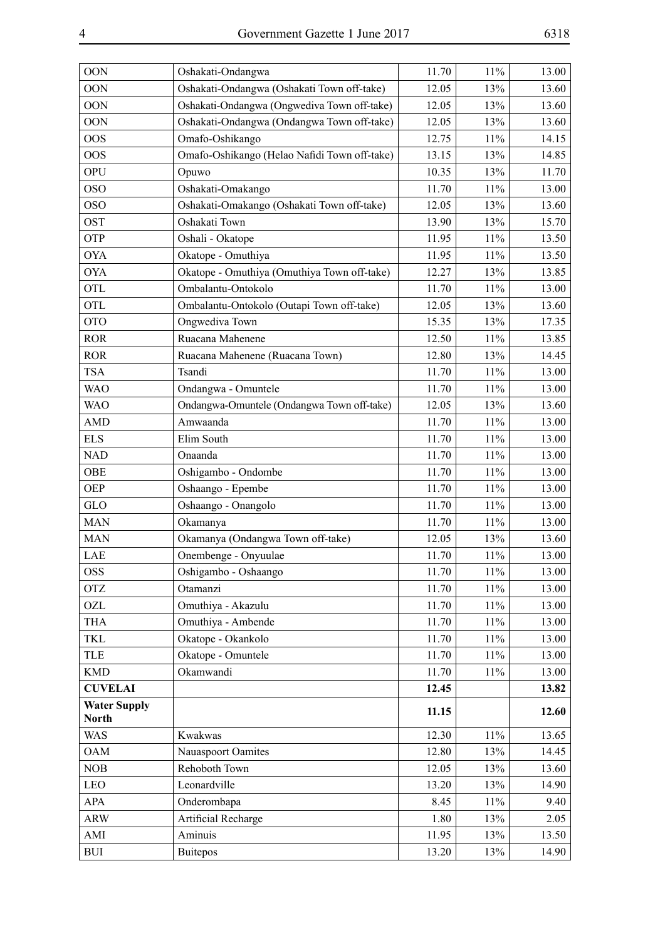| <b>OON</b>          | Oshakati-Ondangwa                            | 11.70 | 11%    | 13.00 |
|---------------------|----------------------------------------------|-------|--------|-------|
| <b>OON</b>          | Oshakati-Ondangwa (Oshakati Town off-take)   | 12.05 | 13%    | 13.60 |
| <b>OON</b>          | Oshakati-Ondangwa (Ongwediva Town off-take)  | 12.05 | 13%    | 13.60 |
| <b>OON</b>          | Oshakati-Ondangwa (Ondangwa Town off-take)   | 12.05 | 13%    | 13.60 |
| <b>OOS</b>          | Omafo-Oshikango                              | 12.75 | 11%    | 14.15 |
| <b>OOS</b>          | Omafo-Oshikango (Helao Nafidi Town off-take) | 13.15 | 13%    | 14.85 |
| <b>OPU</b>          | Opuwo                                        | 10.35 | 13%    | 11.70 |
| <b>OSO</b>          | Oshakati-Omakango                            | 11.70 | 11%    | 13.00 |
| <b>OSO</b>          | Oshakati-Omakango (Oshakati Town off-take)   | 12.05 | 13%    | 13.60 |
| <b>OST</b>          | Oshakati Town                                | 13.90 | 13%    | 15.70 |
| OTP                 | Oshali - Okatope                             | 11.95 | 11%    | 13.50 |
| <b>OYA</b>          | Okatope - Omuthiya                           | 11.95 | 11%    | 13.50 |
| <b>OYA</b>          | Okatope - Omuthiya (Omuthiya Town off-take)  | 12.27 | 13%    | 13.85 |
| <b>OTL</b>          | Ombalantu-Ontokolo                           | 11.70 | 11%    | 13.00 |
| <b>OTL</b>          | Ombalantu-Ontokolo (Outapi Town off-take)    | 12.05 | 13%    | 13.60 |
| <b>OTO</b>          | Ongwediva Town                               | 15.35 | 13%    | 17.35 |
| <b>ROR</b>          | Ruacana Mahenene                             | 12.50 | 11%    | 13.85 |
| <b>ROR</b>          | Ruacana Mahenene (Ruacana Town)              | 12.80 | 13%    | 14.45 |
| <b>TSA</b>          | Tsandi                                       | 11.70 | 11%    | 13.00 |
| <b>WAO</b>          | Ondangwa - Omuntele                          | 11.70 | 11%    | 13.00 |
| <b>WAO</b>          | Ondangwa-Omuntele (Ondangwa Town off-take)   | 12.05 | 13%    | 13.60 |
| <b>AMD</b>          | Amwaanda                                     | 11.70 | 11%    | 13.00 |
| <b>ELS</b>          | Elim South                                   | 11.70 | 11%    | 13.00 |
| <b>NAD</b>          | Onaanda                                      | 11.70 | 11%    | 13.00 |
| OBE                 | Oshigambo - Ondombe                          | 11.70 | 11%    | 13.00 |
| <b>OEP</b>          | Oshaango - Epembe                            | 11.70 | 11%    | 13.00 |
| GLO                 | Oshaango - Onangolo                          | 11.70 | 11%    | 13.00 |
| <b>MAN</b>          | Okamanya                                     | 11.70 | 11%    | 13.00 |
| <b>MAN</b>          | Okamanya (Ondangwa Town off-take)            | 12.05 | 13%    | 13.60 |
| LAE                 | Onembenge - Onyuulae                         | 11.70 | 11%    | 13.00 |
| <b>OSS</b>          | Oshigambo - Oshaango                         | 11.70 | 11%    | 13.00 |
| <b>OTZ</b>          | Otamanzi                                     | 11.70 | $11\%$ | 13.00 |
| OZL                 | Omuthiya - Akazulu                           | 11.70 | $11\%$ | 13.00 |
| <b>THA</b>          | Omuthiya - Ambende                           | 11.70 | $11\%$ | 13.00 |
| <b>TKL</b>          | Okatope - Okankolo                           | 11.70 | $11\%$ | 13.00 |
| TLE                 | Okatope - Omuntele                           | 11.70 | $11\%$ | 13.00 |
| <b>KMD</b>          | Okamwandi                                    | 11.70 | 11%    | 13.00 |
| <b>CUVELAI</b>      |                                              | 12.45 |        | 13.82 |
| <b>Water Supply</b> |                                              | 11.15 |        | 12.60 |
| <b>North</b>        |                                              |       |        |       |
| <b>WAS</b>          | Kwakwas                                      | 12.30 | $11\%$ | 13.65 |
| <b>OAM</b>          | Nauaspoort Oamites                           | 12.80 | 13%    | 14.45 |
| <b>NOB</b>          | Rehoboth Town                                | 12.05 | 13%    | 13.60 |
| LEO                 | Leonardville                                 | 13.20 | 13%    | 14.90 |
| APA                 | Onderombapa                                  | 8.45  | $11\%$ | 9.40  |
| <b>ARW</b>          | Artificial Recharge                          | 1.80  | 13%    | 2.05  |
| AMI                 | Aminuis                                      | 11.95 | 13%    | 13.50 |
| $\rm BUI$           | <b>Buitepos</b>                              | 13.20 | 13%    | 14.90 |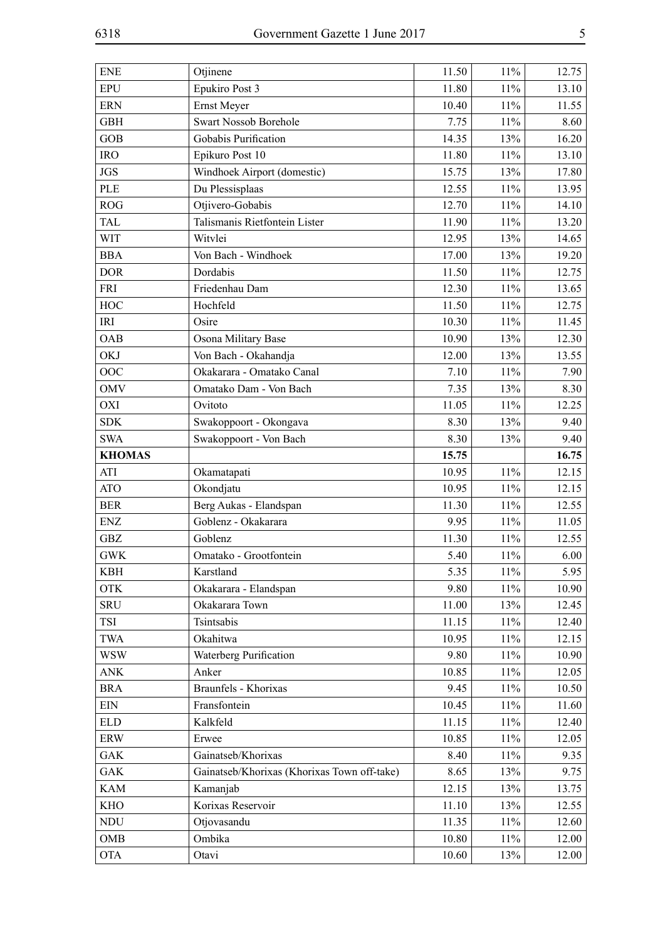| <b>ENE</b>    | Otjinene                                    | 11.50 | 11%    | 12.75 |
|---------------|---------------------------------------------|-------|--------|-------|
| <b>EPU</b>    | Epukiro Post 3                              | 11.80 | 11%    | 13.10 |
| <b>ERN</b>    | Ernst Meyer                                 | 10.40 | 11%    | 11.55 |
| <b>GBH</b>    | Swart Nossob Borehole                       | 7.75  | 11%    | 8.60  |
| <b>GOB</b>    | Gobabis Purification                        | 14.35 | 13%    | 16.20 |
| <b>IRO</b>    | Epikuro Post 10                             | 11.80 | 11%    | 13.10 |
| <b>JGS</b>    | Windhoek Airport (domestic)                 | 15.75 | 13%    | 17.80 |
| <b>PLE</b>    | Du Plessisplaas                             | 12.55 | 11%    | 13.95 |
| <b>ROG</b>    | Otjivero-Gobabis                            | 12.70 | 11%    | 14.10 |
| <b>TAL</b>    | Talismanis Rietfontein Lister               | 11.90 | 11%    | 13.20 |
| <b>WIT</b>    | Witvlei                                     | 12.95 | 13%    | 14.65 |
| <b>BBA</b>    | Von Bach - Windhoek                         | 17.00 | 13%    | 19.20 |
| <b>DOR</b>    | Dordabis                                    | 11.50 | 11%    | 12.75 |
| <b>FRI</b>    | Friedenhau Dam                              | 12.30 | 11%    | 13.65 |
| HOC           | Hochfeld                                    | 11.50 | 11%    | 12.75 |
| IRI           | Osire                                       | 10.30 | 11%    | 11.45 |
| OAB           | Osona Military Base                         | 10.90 | 13%    | 12.30 |
| <b>OKJ</b>    | Von Bach - Okahandja                        | 12.00 | 13%    | 13.55 |
| OOC           | Okakarara - Omatako Canal                   | 7.10  | 11%    | 7.90  |
| <b>OMV</b>    | Omatako Dam - Von Bach                      | 7.35  | 13%    | 8.30  |
| OXI           | Ovitoto                                     | 11.05 | 11%    | 12.25 |
| <b>SDK</b>    | Swakoppoort - Okongava                      | 8.30  | 13%    | 9.40  |
| <b>SWA</b>    | Swakoppoort - Von Bach                      | 8.30  | 13%    | 9.40  |
| <b>KHOMAS</b> |                                             | 15.75 |        | 16.75 |
| <b>ATI</b>    | Okamatapati                                 | 10.95 | 11%    | 12.15 |
| <b>ATO</b>    | Okondjatu                                   | 10.95 | 11%    | 12.15 |
| <b>BER</b>    | Berg Aukas - Elandspan                      | 11.30 | $11\%$ | 12.55 |
| <b>ENZ</b>    | Goblenz - Okakarara                         | 9.95  | 11%    | 11.05 |
| <b>GBZ</b>    | Goblenz                                     | 11.30 | $11\%$ | 12.55 |
| <b>GWK</b>    | Omatako - Grootfontein                      | 5.40  | $11\%$ | 6.00  |
| <b>KBH</b>    | Karstland                                   | 5.35  | $11\%$ | 5.95  |
| <b>OTK</b>    | Okakarara - Elandspan                       | 9.80  | 11%    | 10.90 |
| <b>SRU</b>    | Okakarara Town                              | 11.00 | 13%    | 12.45 |
| TSI           | Tsintsabis                                  | 11.15 | $11\%$ | 12.40 |
| <b>TWA</b>    | Okahitwa                                    | 10.95 | 11%    | 12.15 |
| <b>WSW</b>    | Waterberg Purification                      | 9.80  | 11%    | 10.90 |
| <b>ANK</b>    | Anker                                       | 10.85 | 11%    | 12.05 |
| <b>BRA</b>    | Braunfels - Khorixas                        | 9.45  | 11%    | 10.50 |
| <b>EIN</b>    | Fransfontein                                | 10.45 | 11%    | 11.60 |
| <b>ELD</b>    | Kalkfeld                                    | 11.15 | 11%    | 12.40 |
| <b>ERW</b>    | Erwee                                       | 10.85 | 11%    | 12.05 |
| <b>GAK</b>    | Gainatseb/Khorixas                          | 8.40  | 11%    | 9.35  |
| <b>GAK</b>    | Gainatseb/Khorixas (Khorixas Town off-take) | 8.65  | 13%    | 9.75  |
| <b>KAM</b>    | Kamanjab                                    | 12.15 | 13%    | 13.75 |
| KHO           | Korixas Reservoir                           | 11.10 | 13%    | 12.55 |
| <b>NDU</b>    | Otjovasandu                                 | 11.35 | 11%    | 12.60 |
| OMB           | Ombika                                      | 10.80 | 11%    | 12.00 |
| <b>OTA</b>    | Otavi                                       | 10.60 | 13%    | 12.00 |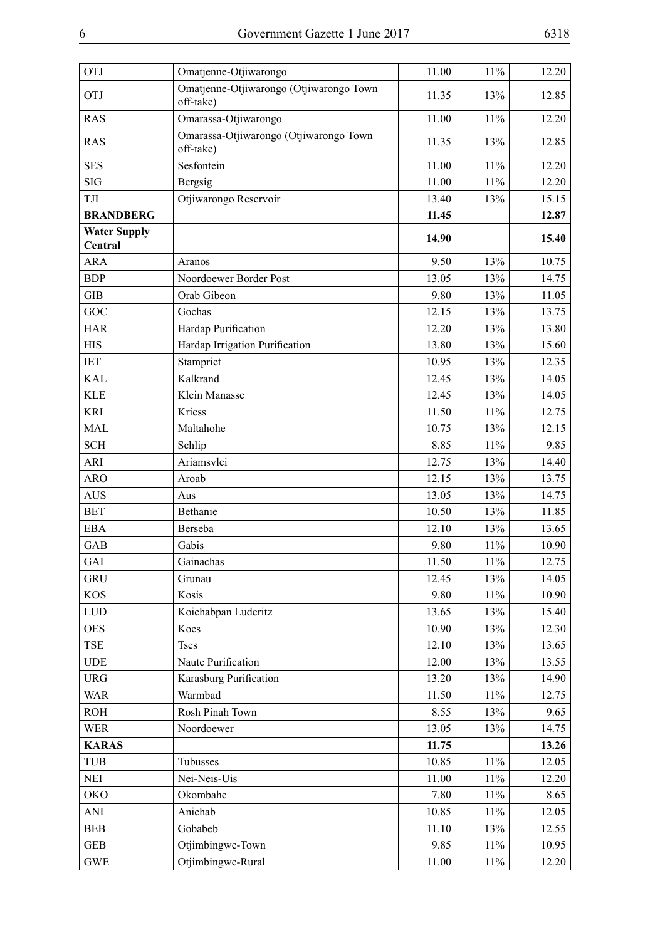| <b>OTJ</b>                     | Omatjenne-Otjiwarongo                                | 11.00 | 11%    | 12.20 |
|--------------------------------|------------------------------------------------------|-------|--------|-------|
| <b>OTJ</b>                     | Omatjenne-Otjiwarongo (Otjiwarongo Town<br>off-take) | 11.35 | 13%    | 12.85 |
| <b>RAS</b>                     | Omarassa-Otjiwarongo                                 | 11.00 | 11%    | 12.20 |
| <b>RAS</b>                     | Omarassa-Otjiwarongo (Otjiwarongo Town<br>off-take)  | 11.35 | 13%    | 12.85 |
| <b>SES</b>                     | Sesfontein                                           | 11.00 | 11%    | 12.20 |
| <b>SIG</b>                     | Bergsig                                              | 11.00 | 11%    | 12.20 |
| TJI                            | Otjiwarongo Reservoir                                | 13.40 | 13%    | 15.15 |
| <b>BRANDBERG</b>               |                                                      | 11.45 |        | 12.87 |
| <b>Water Supply</b><br>Central |                                                      | 14.90 |        | 15.40 |
| <b>ARA</b>                     | Aranos                                               | 9.50  | 13%    | 10.75 |
| <b>BDP</b>                     | Noordoewer Border Post                               | 13.05 | 13%    | 14.75 |
| <b>GIB</b>                     | Orab Gibeon                                          | 9.80  | 13%    | 11.05 |
| GOC                            | Gochas                                               | 12.15 | 13%    | 13.75 |
| <b>HAR</b>                     | Hardap Purification                                  | 12.20 | 13%    | 13.80 |
| <b>HIS</b>                     | Hardap Irrigation Purification                       | 13.80 | 13%    | 15.60 |
| <b>IET</b>                     | Stampriet                                            | 10.95 | 13%    | 12.35 |
| <b>KAL</b>                     | Kalkrand                                             | 12.45 | 13%    | 14.05 |
| <b>KLE</b>                     | Klein Manasse                                        | 12.45 | 13%    | 14.05 |
| <b>KRI</b>                     | Kriess                                               | 11.50 | 11%    | 12.75 |
| <b>MAL</b>                     | Maltahohe                                            | 10.75 | 13%    | 12.15 |
| <b>SCH</b>                     | Schlip                                               | 8.85  | 11%    | 9.85  |
| <b>ARI</b>                     | Ariamsvlei                                           | 12.75 | 13%    | 14.40 |
| <b>ARO</b>                     | Aroab                                                | 12.15 | 13%    | 13.75 |
| <b>AUS</b>                     | Aus                                                  | 13.05 | 13%    | 14.75 |
| <b>BET</b>                     | Bethanie                                             | 10.50 | 13%    | 11.85 |
| EBA                            | Berseba                                              | 12.10 | 13%    | 13.65 |
| GAB                            | Gabis                                                | 9.80  | 11%    | 10.90 |
| GAI                            | Gainachas                                            | 11.50 | 11%    | 12.75 |
| <b>GRU</b>                     | Grunau                                               | 12.45 | 13%    | 14.05 |
| <b>KOS</b>                     | Kosis                                                | 9.80  | 11%    | 10.90 |
| <b>LUD</b>                     | Koichabpan Luderitz                                  | 13.65 | 13%    | 15.40 |
| <b>OES</b>                     | Koes                                                 | 10.90 | 13%    | 12.30 |
| TSE                            | <b>Tses</b>                                          | 12.10 | 13%    | 13.65 |
| <b>UDE</b>                     | Naute Purification                                   | 12.00 | 13%    | 13.55 |
| <b>URG</b>                     | Karasburg Purification                               | 13.20 | 13%    | 14.90 |
| <b>WAR</b>                     | Warmbad                                              | 11.50 | 11%    | 12.75 |
| <b>ROH</b>                     | Rosh Pinah Town                                      | 8.55  | 13%    | 9.65  |
| <b>WER</b>                     | Noordoewer                                           | 13.05 | 13%    | 14.75 |
| <b>KARAS</b>                   |                                                      | 11.75 |        | 13.26 |
| <b>TUB</b>                     | Tubusses                                             | 10.85 | 11%    | 12.05 |
| <b>NEI</b>                     | Nei-Neis-Uis                                         | 11.00 | 11%    | 12.20 |
| <b>OKO</b>                     | Okombahe                                             | 7.80  | 11%    | 8.65  |
| ANI                            | Anichab                                              | 10.85 | 11%    | 12.05 |
| <b>BEB</b>                     | Gobabeb                                              | 11.10 | 13%    | 12.55 |
| <b>GEB</b>                     | Otjimbingwe-Town                                     | 9.85  | 11%    | 10.95 |
| <b>GWE</b>                     | Otjimbingwe-Rural                                    | 11.00 | $11\%$ | 12.20 |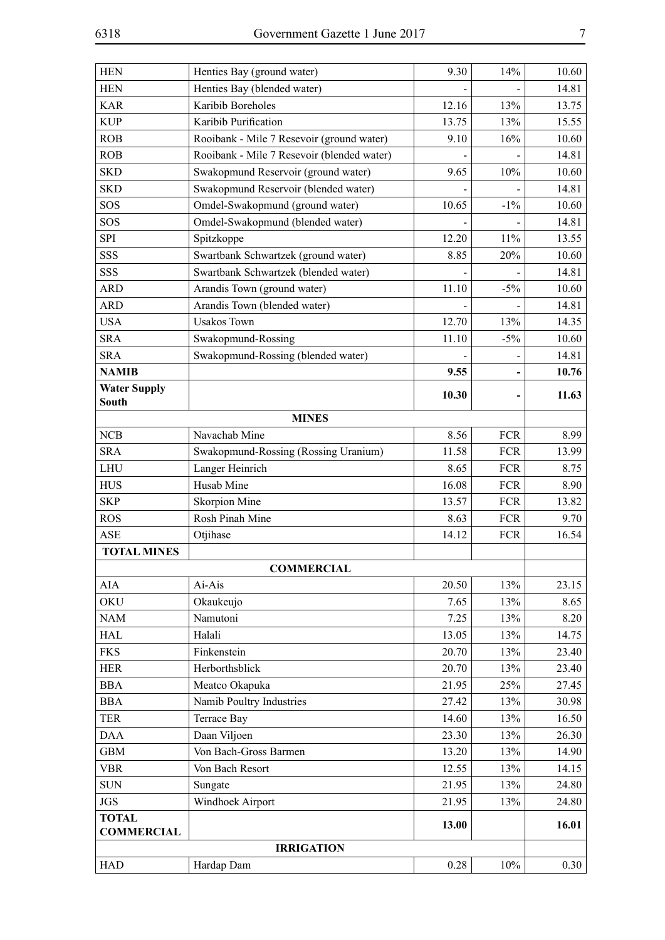| <b>HEN</b>          | Henties Bay (ground water)                 | 9.30  | 14%        | 10.60 |
|---------------------|--------------------------------------------|-------|------------|-------|
| <b>HEN</b>          | Henties Bay (blended water)                |       |            | 14.81 |
| <b>KAR</b>          | Karibib Boreholes                          | 12.16 | 13%        | 13.75 |
| <b>KUP</b>          | Karibib Purification                       | 13.75 | 13%        | 15.55 |
| ROB                 | Rooibank - Mile 7 Resevoir (ground water)  | 9.10  | 16%        | 10.60 |
| ROB                 | Rooibank - Mile 7 Resevoir (blended water) |       |            | 14.81 |
| <b>SKD</b>          | Swakopmund Reservoir (ground water)        | 9.65  | 10%        | 10.60 |
| <b>SKD</b>          | Swakopmund Reservoir (blended water)       |       |            | 14.81 |
| SOS                 | Omdel-Swakopmund (ground water)            | 10.65 | $-1\%$     | 10.60 |
| SOS                 | Omdel-Swakopmund (blended water)           |       |            | 14.81 |
| <b>SPI</b>          | Spitzkoppe                                 | 12.20 | 11%        | 13.55 |
| SSS                 | Swartbank Schwartzek (ground water)        | 8.85  | 20%        | 10.60 |
| SSS                 | Swartbank Schwartzek (blended water)       |       |            | 14.81 |
| <b>ARD</b>          | Arandis Town (ground water)                | 11.10 | $-5%$      | 10.60 |
| <b>ARD</b>          | Arandis Town (blended water)               |       |            | 14.81 |
| <b>USA</b>          | <b>Usakos Town</b>                         | 12.70 | 13%        | 14.35 |
| <b>SRA</b>          | Swakopmund-Rossing                         | 11.10 | $-5%$      | 10.60 |
| <b>SRA</b>          | Swakopmund-Rossing (blended water)         |       |            | 14.81 |
| <b>NAMIB</b>        |                                            | 9.55  |            | 10.76 |
| <b>Water Supply</b> |                                            |       |            |       |
| South               |                                            | 10.30 |            | 11.63 |
|                     | <b>MINES</b>                               |       |            |       |
| NCB                 | Navachab Mine                              | 8.56  | <b>FCR</b> | 8.99  |
| <b>SRA</b>          | Swakopmund-Rossing (Rossing Uranium)       | 11.58 | <b>FCR</b> | 13.99 |
| <b>LHU</b>          | Langer Heinrich                            | 8.65  | <b>FCR</b> | 8.75  |
| <b>HUS</b>          | Husab Mine                                 | 16.08 | <b>FCR</b> | 8.90  |
| <b>SKP</b>          | <b>Skorpion Mine</b>                       | 13.57 | <b>FCR</b> | 13.82 |
| <b>ROS</b>          | Rosh Pinah Mine                            | 8.63  | <b>FCR</b> | 9.70  |
| <b>ASE</b>          | Otjihase                                   | 14.12 | <b>FCR</b> | 16.54 |
| <b>TOTAL MINES</b>  |                                            |       |            |       |
|                     | <b>COMMERCIAL</b>                          |       |            |       |
| AIA                 | Ai-Ais                                     | 20.50 | 13%        | 23.15 |
| <b>OKU</b>          | Okaukeujo                                  | 7.65  | 13%        | 8.65  |
| <b>NAM</b>          | Namutoni                                   | 7.25  | 13%        | 8.20  |
| <b>HAL</b>          | Halali                                     | 13.05 | 13%        | 14.75 |
| <b>FKS</b>          | Finkenstein                                | 20.70 | 13%        | 23.40 |
| <b>HER</b>          | Herborthsblick                             | 20.70 | 13%        | 23.40 |
| <b>BBA</b>          | Meatco Okapuka                             | 21.95 | 25%        | 27.45 |
| <b>BBA</b>          | Namib Poultry Industries                   | 27.42 | 13%        | 30.98 |
| <b>TER</b>          | Terrace Bay                                | 14.60 | 13%        | 16.50 |
| <b>DAA</b>          | Daan Viljoen                               | 23.30 | 13%        | 26.30 |
| <b>GBM</b>          | Von Bach-Gross Barmen                      | 13.20 | 13%        | 14.90 |
| <b>VBR</b>          | Von Bach Resort                            | 12.55 | 13%        | 14.15 |
| <b>SUN</b>          | Sungate                                    | 21.95 | 13%        | 24.80 |
| <b>JGS</b>          | Windhoek Airport                           | 21.95 | 13%        | 24.80 |
| <b>TOTAL</b>        |                                            |       |            |       |
| <b>COMMERCIAL</b>   |                                            | 13.00 |            | 16.01 |
|                     | <b>IRRIGATION</b>                          |       |            |       |
| <b>HAD</b>          | Hardap Dam                                 | 0.28  | 10%        | 0.30  |